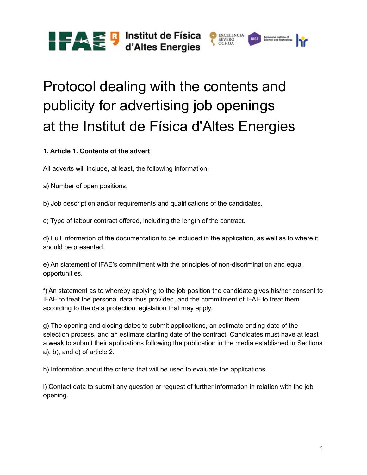**TAE** S Institut de Física



## Protocol dealing with the contents and publicity for advertising job openings at the Institut de Física d'Altes Energies

## **1. Article 1. Contents of the advert**

All adverts will include, at least, the following information:

a) Number of open positions.

b) Job description and/or requirements and qualifications of the candidates.

c) Type of labour contract offered, including the length of the contract.

d) Full information of the documentation to be included in the application, as well as to where it should be presented.

e) An statement of IFAE's commitment with the principles of non-discrimination and equal opportunities.

f) An statement as to whereby applying to the job position the candidate gives his/her consent to IFAE to treat the personal data thus provided, and the commitment of IFAE to treat them according to the data protection legislation that may apply.

g) The opening and closing dates to submit applications, an estimate ending date of the selection process, and an estimate starting date of the contract. Candidates must have at least a weak to submit their applications following the publication in the media established in Sections a), b), and c) of article 2.

h) Information about the criteria that will be used to evaluate the applications.

i) Contact data to submit any question or request of further information in relation with the job opening.